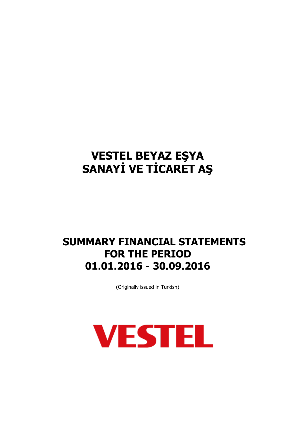## **SUMMARY FINANCIAL STATEMENTS FOR THE PERIOD 01.01.2016 - 30.09.2016**

(Originally issued in Turkish)

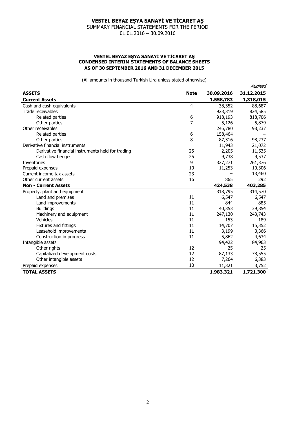SUMMARY FINANCIAL STATEMENTS FOR THE PERIOD 01.01.2016 – 30.09.2016

#### **VESTEL BEYAZ EŞYA SANAYİ VE TİCARET AŞ CONDENSED INTERIM STATEMENTS OF BALANCE SHEETS AS OF 30 SEPTEMBER 2016 AND 31 DECEMBER 2015**

(All amounts in thousand Turkish Lira unless stated otherwise)

|                                                   |             |            | Audited    |
|---------------------------------------------------|-------------|------------|------------|
| <b>ASSETS</b>                                     | <b>Note</b> | 30.09.2016 | 31.12.2015 |
| <b>Current Assets</b>                             |             | 1,558,783  | 1,318,015  |
| Cash and cash equivalents                         | 4           | 38,352     | 88,687     |
| Trade receivables                                 |             | 923,319    | 824,585    |
| Related parties                                   | 6           | 918,193    | 818,706    |
| Other parties                                     | 7           | 5,126      | 5,879      |
| Other receivables                                 |             | 245,780    | 98,237     |
| Related parties                                   | 6           | 158,464    |            |
| Other parties                                     | 8           | 87,316     | 98,237     |
| Derivative financial instruments                  |             | 11,943     | 21,072     |
| Derivative financial instruments held for trading | 25          | 2,205      | 11,535     |
| Cash flow hedges                                  | 25          | 9,738      | 9,537      |
| Inventories                                       | 9           | 327,271    | 261,376    |
| Prepaid expenses                                  | 10          | 11,253     | 10,306     |
| Current income tax assets                         | 23          |            | 13,460     |
| Other current assets                              | 16          | 865        | 292        |
| <b>Non - Current Assets</b>                       |             | 424,538    | 403,285    |
| Property, plant and equipment                     |             | 318,795    | 314,570    |
| Land and premises                                 | 11          | 6,547      | 6,547      |
| Land improvements                                 | 11          | 844        | 885        |
| <b>Buildings</b>                                  | 11          | 40,353     | 39,854     |
| Machinery and equipment                           | 11          | 247,130    | 243,743    |
| Vehicles                                          | 11          | 153        | 189        |
| Fixtures and fittings                             | 11          | 14,707     | 15,352     |
| Leasehold improvements                            | 11          | 3,199      | 3,366      |
| Construction in progress                          | 11          | 5,862      | 4,634      |
| Intangible assets                                 |             | 94,422     | 84,963     |
| Other rights                                      | 12          | 25         | 25         |
| Capitalized development costs                     | 12          | 87,133     | 78,555     |
| Other intangible assets                           | 12          | 7,264      | 6,383      |
| Prepaid expenses                                  | 10          | 11,321     | 3,752      |
| <b>TOTAL ASSETS</b>                               |             | 1,983,321  | 1,721,300  |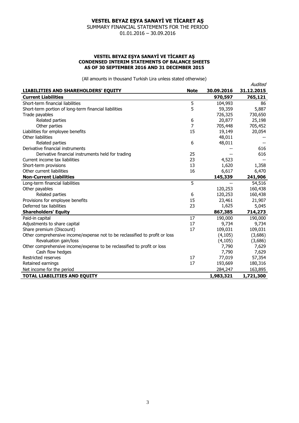SUMMARY FINANCIAL STATEMENTS FOR THE PERIOD 01.01.2016 – 30.09.2016

#### **VESTEL BEYAZ EŞYA SANAYİ VE TİCARET AŞ CONDENSED INTERIM STATEMENTS OF BALANCE SHEETS AS OF 30 SEPTEMBER 2016 AND 31 DECEMBER 2015**

(All amounts in thousand Turkish Lira unless stated otherwise)

Audited

| LIABILITIES AND SHAREHOLDERS' EQUITY                                        | <b>Note</b> | 30.09.2016 | nuurtu<br>31.12.2015 |
|-----------------------------------------------------------------------------|-------------|------------|----------------------|
| <b>Current Liabilities</b>                                                  |             | 970,597    | 765,121              |
| Short-term financial liabilities                                            | 5           | 104,993    | 86                   |
| Short-term portion of long-term financial liabilities                       | 5           | 59,359     | 5,887                |
| Trade payables                                                              |             | 726,325    | 730,650              |
| Related parties                                                             | 6           | 20,877     | 25,198               |
| Other parties                                                               | 7           | 705,448    | 705,452              |
| Liabilities for employee benefits                                           | 15          | 19,149     | 20,054               |
| Other liabilities                                                           |             | 48,011     |                      |
| Related parties                                                             | 6           | 48,011     |                      |
| Derivative financial instruments                                            |             |            | 616                  |
| Derivative financial instruments held for trading                           | 25          |            | 616                  |
| Current income tax liabilities                                              | 23          | 4,523      |                      |
| Short-term provisions                                                       | 13          | 1,620      | 1,358                |
| Other current liabilities                                                   | 16          | 6,617      | 6,470                |
| <b>Non-Current Liabilities</b>                                              |             | 145,339    | 241,906              |
| Long-term financial liabilities                                             | 5           |            | 54,516               |
| Other payables                                                              |             | 120,253    | 160,438              |
| Related parties                                                             | 6           | 120,253    | 160,438              |
| Provisions for employee benefits                                            | 15          | 23,461     | 21,907               |
| Deferred tax liabilities                                                    | 23          | 1,625      | 5,045                |
| <b>Shareholders' Equity</b>                                                 |             | 867,385    | 714,273              |
| Paid-in capital                                                             | 17          | 190,000    | 190,000              |
| Adjustments to share capital                                                | 17          | 9,734      | 9,734                |
| Share premium (Discount)                                                    | 17          | 109,031    | 109,031              |
| Other comprehensive income/expense not to be reclassified to profit or loss |             | (4, 105)   | (3,686)              |
| Revaluation gain/loss                                                       |             | (4, 105)   | (3,686)              |
| Other comprehensive income/expense to be reclassified to profit or loss     |             | 7,790      | 7,629                |
| Cash flow hedges                                                            |             | 7,790      | 7,629                |
| Restricted reserves                                                         | 17          | 77,019     | 57,354               |
| Retained earnings                                                           | 17          | 193,669    | 180,316              |
| Net income for the period                                                   |             | 284,247    | 163,895              |
| <b>TOTAL LIABILITIES AND EQUITY</b>                                         |             | 1,983,321  | 1,721,300            |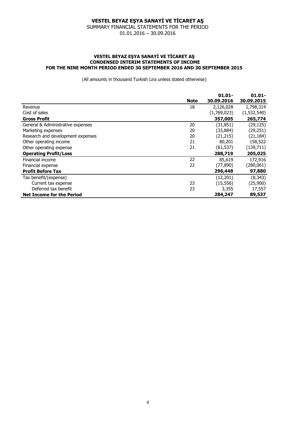SUMMARY FINANCIAL STATEMENTS FOR THE PERIOD 01.01.2016 – 30.09.2016

#### **VESTEL BEYAZ EŞYA SANAYİ VE TİCARET AŞ CONDENSED INTERIM STATEMENTS OF INCOME FOR THE NINE MONTH PERIOD ENDED 30 SEPTEMBER 2016 AND 30 SEPTEMBER 2015**

(All amounts in thousand Turkish Lira unless stated otherwise)

|                                   |             | $01.01 -$   | $01.01 -$   |
|-----------------------------------|-------------|-------------|-------------|
|                                   | <b>Note</b> | 30.09.2016  | 30.09.2015  |
| Revenue                           | 18          | 2,126,028   | 1,798,314   |
| Cost of sales                     |             | (1,769,023) | (1,532,540) |
| <b>Gross Profit</b>               |             | 357,005     | 265,774     |
| General & Administrative expenses | 20          | (31, 851)   | (29, 125)   |
| Marketing expenses                | 20          | (33, 884)   | (29, 251)   |
| Research and development expenses | 20          | (21, 215)   | (21, 184)   |
| Other operating income            | 21          | 80,201      | 158,522     |
| Other operating expense           | 21          | (61, 537)   | (139, 711)  |
| <b>Operating Profit/Loss</b>      |             | 288,719     | 205,025     |
| Financial income                  | 22          | 85,619      | 172,916     |
| Financial expense                 | 22          | (77, 890)   | (280, 061)  |
| <b>Profit Before Tax</b>          |             | 296,448     | 97,880      |
| Tax benefit/(expense)             |             | (12, 201)   | (8, 343)    |
| Current tax expense               | 23          | (15, 556)   | (25,900)    |
| Deferred tax benefit              | 23          | 3,355       | 17,557      |
| <b>Net Income for the Period</b>  |             | 284,247     | 89,537      |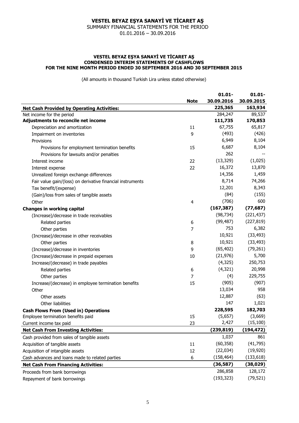SUMMARY FINANCIAL STATEMENTS FOR THE PERIOD

01.01.2016 – 30.09.2016

#### **VESTEL BEYAZ EŞYA SANAYİ VE TİCARET AŞ CONDENSED INTERIM STATEMENTS OF CASHFLOWS FOR THE NINE MONTH PERIOD ENDED 30 SEPTEMBER 2016 AND 30 SEPTEMBER 2015**

(All amounts in thousand Turkish Lira unless stated otherwise)

| 30.09.2016<br>30.09.2015<br><b>Note</b><br>225,365<br>163,934<br><b>Net Cash Provided by Operating Activities:</b><br>89,537<br>284,247<br>Net income for the period<br>Adjustments to reconcile net income<br>111,735<br>170,853<br>65,817<br>67,755<br>Depreciation and amortization<br>11<br>(493)<br>(426)<br>9<br>Impairment on inventories<br>6,949<br>8,104<br>Provisions<br>6,687<br>8,104<br>Provisions for employment termination benefits<br>15<br>262<br>Provisions for lawsuits and/or penalties<br>(1,025)<br>(13, 329)<br>22<br>Interest income<br>16,372<br>13,870<br>22<br>Interest expense<br>14,356<br>1,459<br>Unrealized foreign exchange differences<br>74,266<br>8,714<br>Fair value gain/(loss) on derivative financial instruments<br>12,201<br>8,343<br>Tax benefit/(expense)<br>(84)<br>(155)<br>(Gain)/loss from sales of tangible assets<br>(706)<br>600<br>Other<br>4<br>(167, 387)<br>(77, 687)<br><b>Changes in working capital</b><br>(98, 734)<br>(221, 437)<br>(Increase)/decrease in trade receivables<br>(99, 487)<br>(227, 819)<br>Related parties<br>6<br>753<br>6,382<br>7<br>Other parties<br>10,921<br>(33, 493)<br>(Increase)/decrease in other receivables<br>10,921<br>(33, 493)<br>Other parties<br>8<br>(79, 261)<br>(65, 402)<br>9<br>(Increase)/decrease in inventories<br>(21, 976)<br>5,700<br>(Increase)/decrease in prepaid expenses<br>10<br>(4,325)<br>250,753<br>Increase/(decrease) in trade payables<br>20,998<br>(4, 321)<br>Related parties<br>6<br>229,755<br>(4)<br>7<br>Other parties<br>(905)<br>(907)<br>Increase/(decrease) in employee termination benefits<br>15<br>13,034<br>958<br>Other<br>12,887<br>(63)<br>Other assets<br>147<br>1,021<br>Other liabilities<br>228,595<br>182,703<br><b>Cash Flows From (Used in) Operations</b><br>(5,657)<br>(3,669)<br>15<br>Employee termination benefits paid<br>2,427<br>(15, 100)<br>23<br>Current income tax paid<br>(239, 819)<br>(194, 472)<br><b>Net Cash From Investing Activities:</b><br>1,037<br>861<br>Cash provided from sales of tangible assets<br>(60, 358)<br>(41, 795)<br>Acquisition of tangible assets<br>11<br>(22, 034)<br>(19, 920)<br>Acquisition of intangible assets<br>12<br>(158, 464)<br>(133, 618)<br>Cash advances and loans made to related parties<br>6<br>(36, 587)<br>(38, 029)<br><b>Net Cash From Financing Activities:</b><br>286,858<br>128,172<br>Proceeds from bank borrowings |  | $01.01 -$ | $01.01 -$ |
|---------------------------------------------------------------------------------------------------------------------------------------------------------------------------------------------------------------------------------------------------------------------------------------------------------------------------------------------------------------------------------------------------------------------------------------------------------------------------------------------------------------------------------------------------------------------------------------------------------------------------------------------------------------------------------------------------------------------------------------------------------------------------------------------------------------------------------------------------------------------------------------------------------------------------------------------------------------------------------------------------------------------------------------------------------------------------------------------------------------------------------------------------------------------------------------------------------------------------------------------------------------------------------------------------------------------------------------------------------------------------------------------------------------------------------------------------------------------------------------------------------------------------------------------------------------------------------------------------------------------------------------------------------------------------------------------------------------------------------------------------------------------------------------------------------------------------------------------------------------------------------------------------------------------------------------------------------------------------------------------------------------------------------------------------------------------------------------------------------------------------------------------------------------------------------------------------------------------------------------------------------------------------------------------------------------------------------------------------------------------------------------------------------------------------------------|--|-----------|-----------|
|                                                                                                                                                                                                                                                                                                                                                                                                                                                                                                                                                                                                                                                                                                                                                                                                                                                                                                                                                                                                                                                                                                                                                                                                                                                                                                                                                                                                                                                                                                                                                                                                                                                                                                                                                                                                                                                                                                                                                                                                                                                                                                                                                                                                                                                                                                                                                                                                                                       |  |           |           |
|                                                                                                                                                                                                                                                                                                                                                                                                                                                                                                                                                                                                                                                                                                                                                                                                                                                                                                                                                                                                                                                                                                                                                                                                                                                                                                                                                                                                                                                                                                                                                                                                                                                                                                                                                                                                                                                                                                                                                                                                                                                                                                                                                                                                                                                                                                                                                                                                                                       |  |           |           |
|                                                                                                                                                                                                                                                                                                                                                                                                                                                                                                                                                                                                                                                                                                                                                                                                                                                                                                                                                                                                                                                                                                                                                                                                                                                                                                                                                                                                                                                                                                                                                                                                                                                                                                                                                                                                                                                                                                                                                                                                                                                                                                                                                                                                                                                                                                                                                                                                                                       |  |           |           |
|                                                                                                                                                                                                                                                                                                                                                                                                                                                                                                                                                                                                                                                                                                                                                                                                                                                                                                                                                                                                                                                                                                                                                                                                                                                                                                                                                                                                                                                                                                                                                                                                                                                                                                                                                                                                                                                                                                                                                                                                                                                                                                                                                                                                                                                                                                                                                                                                                                       |  |           |           |
|                                                                                                                                                                                                                                                                                                                                                                                                                                                                                                                                                                                                                                                                                                                                                                                                                                                                                                                                                                                                                                                                                                                                                                                                                                                                                                                                                                                                                                                                                                                                                                                                                                                                                                                                                                                                                                                                                                                                                                                                                                                                                                                                                                                                                                                                                                                                                                                                                                       |  |           |           |
|                                                                                                                                                                                                                                                                                                                                                                                                                                                                                                                                                                                                                                                                                                                                                                                                                                                                                                                                                                                                                                                                                                                                                                                                                                                                                                                                                                                                                                                                                                                                                                                                                                                                                                                                                                                                                                                                                                                                                                                                                                                                                                                                                                                                                                                                                                                                                                                                                                       |  |           |           |
|                                                                                                                                                                                                                                                                                                                                                                                                                                                                                                                                                                                                                                                                                                                                                                                                                                                                                                                                                                                                                                                                                                                                                                                                                                                                                                                                                                                                                                                                                                                                                                                                                                                                                                                                                                                                                                                                                                                                                                                                                                                                                                                                                                                                                                                                                                                                                                                                                                       |  |           |           |
|                                                                                                                                                                                                                                                                                                                                                                                                                                                                                                                                                                                                                                                                                                                                                                                                                                                                                                                                                                                                                                                                                                                                                                                                                                                                                                                                                                                                                                                                                                                                                                                                                                                                                                                                                                                                                                                                                                                                                                                                                                                                                                                                                                                                                                                                                                                                                                                                                                       |  |           |           |
|                                                                                                                                                                                                                                                                                                                                                                                                                                                                                                                                                                                                                                                                                                                                                                                                                                                                                                                                                                                                                                                                                                                                                                                                                                                                                                                                                                                                                                                                                                                                                                                                                                                                                                                                                                                                                                                                                                                                                                                                                                                                                                                                                                                                                                                                                                                                                                                                                                       |  |           |           |
|                                                                                                                                                                                                                                                                                                                                                                                                                                                                                                                                                                                                                                                                                                                                                                                                                                                                                                                                                                                                                                                                                                                                                                                                                                                                                                                                                                                                                                                                                                                                                                                                                                                                                                                                                                                                                                                                                                                                                                                                                                                                                                                                                                                                                                                                                                                                                                                                                                       |  |           |           |
|                                                                                                                                                                                                                                                                                                                                                                                                                                                                                                                                                                                                                                                                                                                                                                                                                                                                                                                                                                                                                                                                                                                                                                                                                                                                                                                                                                                                                                                                                                                                                                                                                                                                                                                                                                                                                                                                                                                                                                                                                                                                                                                                                                                                                                                                                                                                                                                                                                       |  |           |           |
|                                                                                                                                                                                                                                                                                                                                                                                                                                                                                                                                                                                                                                                                                                                                                                                                                                                                                                                                                                                                                                                                                                                                                                                                                                                                                                                                                                                                                                                                                                                                                                                                                                                                                                                                                                                                                                                                                                                                                                                                                                                                                                                                                                                                                                                                                                                                                                                                                                       |  |           |           |
|                                                                                                                                                                                                                                                                                                                                                                                                                                                                                                                                                                                                                                                                                                                                                                                                                                                                                                                                                                                                                                                                                                                                                                                                                                                                                                                                                                                                                                                                                                                                                                                                                                                                                                                                                                                                                                                                                                                                                                                                                                                                                                                                                                                                                                                                                                                                                                                                                                       |  |           |           |
|                                                                                                                                                                                                                                                                                                                                                                                                                                                                                                                                                                                                                                                                                                                                                                                                                                                                                                                                                                                                                                                                                                                                                                                                                                                                                                                                                                                                                                                                                                                                                                                                                                                                                                                                                                                                                                                                                                                                                                                                                                                                                                                                                                                                                                                                                                                                                                                                                                       |  |           |           |
|                                                                                                                                                                                                                                                                                                                                                                                                                                                                                                                                                                                                                                                                                                                                                                                                                                                                                                                                                                                                                                                                                                                                                                                                                                                                                                                                                                                                                                                                                                                                                                                                                                                                                                                                                                                                                                                                                                                                                                                                                                                                                                                                                                                                                                                                                                                                                                                                                                       |  |           |           |
|                                                                                                                                                                                                                                                                                                                                                                                                                                                                                                                                                                                                                                                                                                                                                                                                                                                                                                                                                                                                                                                                                                                                                                                                                                                                                                                                                                                                                                                                                                                                                                                                                                                                                                                                                                                                                                                                                                                                                                                                                                                                                                                                                                                                                                                                                                                                                                                                                                       |  |           |           |
|                                                                                                                                                                                                                                                                                                                                                                                                                                                                                                                                                                                                                                                                                                                                                                                                                                                                                                                                                                                                                                                                                                                                                                                                                                                                                                                                                                                                                                                                                                                                                                                                                                                                                                                                                                                                                                                                                                                                                                                                                                                                                                                                                                                                                                                                                                                                                                                                                                       |  |           |           |
|                                                                                                                                                                                                                                                                                                                                                                                                                                                                                                                                                                                                                                                                                                                                                                                                                                                                                                                                                                                                                                                                                                                                                                                                                                                                                                                                                                                                                                                                                                                                                                                                                                                                                                                                                                                                                                                                                                                                                                                                                                                                                                                                                                                                                                                                                                                                                                                                                                       |  |           |           |
|                                                                                                                                                                                                                                                                                                                                                                                                                                                                                                                                                                                                                                                                                                                                                                                                                                                                                                                                                                                                                                                                                                                                                                                                                                                                                                                                                                                                                                                                                                                                                                                                                                                                                                                                                                                                                                                                                                                                                                                                                                                                                                                                                                                                                                                                                                                                                                                                                                       |  |           |           |
|                                                                                                                                                                                                                                                                                                                                                                                                                                                                                                                                                                                                                                                                                                                                                                                                                                                                                                                                                                                                                                                                                                                                                                                                                                                                                                                                                                                                                                                                                                                                                                                                                                                                                                                                                                                                                                                                                                                                                                                                                                                                                                                                                                                                                                                                                                                                                                                                                                       |  |           |           |
|                                                                                                                                                                                                                                                                                                                                                                                                                                                                                                                                                                                                                                                                                                                                                                                                                                                                                                                                                                                                                                                                                                                                                                                                                                                                                                                                                                                                                                                                                                                                                                                                                                                                                                                                                                                                                                                                                                                                                                                                                                                                                                                                                                                                                                                                                                                                                                                                                                       |  |           |           |
|                                                                                                                                                                                                                                                                                                                                                                                                                                                                                                                                                                                                                                                                                                                                                                                                                                                                                                                                                                                                                                                                                                                                                                                                                                                                                                                                                                                                                                                                                                                                                                                                                                                                                                                                                                                                                                                                                                                                                                                                                                                                                                                                                                                                                                                                                                                                                                                                                                       |  |           |           |
|                                                                                                                                                                                                                                                                                                                                                                                                                                                                                                                                                                                                                                                                                                                                                                                                                                                                                                                                                                                                                                                                                                                                                                                                                                                                                                                                                                                                                                                                                                                                                                                                                                                                                                                                                                                                                                                                                                                                                                                                                                                                                                                                                                                                                                                                                                                                                                                                                                       |  |           |           |
|                                                                                                                                                                                                                                                                                                                                                                                                                                                                                                                                                                                                                                                                                                                                                                                                                                                                                                                                                                                                                                                                                                                                                                                                                                                                                                                                                                                                                                                                                                                                                                                                                                                                                                                                                                                                                                                                                                                                                                                                                                                                                                                                                                                                                                                                                                                                                                                                                                       |  |           |           |
|                                                                                                                                                                                                                                                                                                                                                                                                                                                                                                                                                                                                                                                                                                                                                                                                                                                                                                                                                                                                                                                                                                                                                                                                                                                                                                                                                                                                                                                                                                                                                                                                                                                                                                                                                                                                                                                                                                                                                                                                                                                                                                                                                                                                                                                                                                                                                                                                                                       |  |           |           |
|                                                                                                                                                                                                                                                                                                                                                                                                                                                                                                                                                                                                                                                                                                                                                                                                                                                                                                                                                                                                                                                                                                                                                                                                                                                                                                                                                                                                                                                                                                                                                                                                                                                                                                                                                                                                                                                                                                                                                                                                                                                                                                                                                                                                                                                                                                                                                                                                                                       |  |           |           |
|                                                                                                                                                                                                                                                                                                                                                                                                                                                                                                                                                                                                                                                                                                                                                                                                                                                                                                                                                                                                                                                                                                                                                                                                                                                                                                                                                                                                                                                                                                                                                                                                                                                                                                                                                                                                                                                                                                                                                                                                                                                                                                                                                                                                                                                                                                                                                                                                                                       |  |           |           |
|                                                                                                                                                                                                                                                                                                                                                                                                                                                                                                                                                                                                                                                                                                                                                                                                                                                                                                                                                                                                                                                                                                                                                                                                                                                                                                                                                                                                                                                                                                                                                                                                                                                                                                                                                                                                                                                                                                                                                                                                                                                                                                                                                                                                                                                                                                                                                                                                                                       |  |           |           |
|                                                                                                                                                                                                                                                                                                                                                                                                                                                                                                                                                                                                                                                                                                                                                                                                                                                                                                                                                                                                                                                                                                                                                                                                                                                                                                                                                                                                                                                                                                                                                                                                                                                                                                                                                                                                                                                                                                                                                                                                                                                                                                                                                                                                                                                                                                                                                                                                                                       |  |           |           |
|                                                                                                                                                                                                                                                                                                                                                                                                                                                                                                                                                                                                                                                                                                                                                                                                                                                                                                                                                                                                                                                                                                                                                                                                                                                                                                                                                                                                                                                                                                                                                                                                                                                                                                                                                                                                                                                                                                                                                                                                                                                                                                                                                                                                                                                                                                                                                                                                                                       |  |           |           |
|                                                                                                                                                                                                                                                                                                                                                                                                                                                                                                                                                                                                                                                                                                                                                                                                                                                                                                                                                                                                                                                                                                                                                                                                                                                                                                                                                                                                                                                                                                                                                                                                                                                                                                                                                                                                                                                                                                                                                                                                                                                                                                                                                                                                                                                                                                                                                                                                                                       |  |           |           |
|                                                                                                                                                                                                                                                                                                                                                                                                                                                                                                                                                                                                                                                                                                                                                                                                                                                                                                                                                                                                                                                                                                                                                                                                                                                                                                                                                                                                                                                                                                                                                                                                                                                                                                                                                                                                                                                                                                                                                                                                                                                                                                                                                                                                                                                                                                                                                                                                                                       |  |           |           |
|                                                                                                                                                                                                                                                                                                                                                                                                                                                                                                                                                                                                                                                                                                                                                                                                                                                                                                                                                                                                                                                                                                                                                                                                                                                                                                                                                                                                                                                                                                                                                                                                                                                                                                                                                                                                                                                                                                                                                                                                                                                                                                                                                                                                                                                                                                                                                                                                                                       |  |           |           |
|                                                                                                                                                                                                                                                                                                                                                                                                                                                                                                                                                                                                                                                                                                                                                                                                                                                                                                                                                                                                                                                                                                                                                                                                                                                                                                                                                                                                                                                                                                                                                                                                                                                                                                                                                                                                                                                                                                                                                                                                                                                                                                                                                                                                                                                                                                                                                                                                                                       |  |           |           |
|                                                                                                                                                                                                                                                                                                                                                                                                                                                                                                                                                                                                                                                                                                                                                                                                                                                                                                                                                                                                                                                                                                                                                                                                                                                                                                                                                                                                                                                                                                                                                                                                                                                                                                                                                                                                                                                                                                                                                                                                                                                                                                                                                                                                                                                                                                                                                                                                                                       |  |           |           |
|                                                                                                                                                                                                                                                                                                                                                                                                                                                                                                                                                                                                                                                                                                                                                                                                                                                                                                                                                                                                                                                                                                                                                                                                                                                                                                                                                                                                                                                                                                                                                                                                                                                                                                                                                                                                                                                                                                                                                                                                                                                                                                                                                                                                                                                                                                                                                                                                                                       |  |           |           |
|                                                                                                                                                                                                                                                                                                                                                                                                                                                                                                                                                                                                                                                                                                                                                                                                                                                                                                                                                                                                                                                                                                                                                                                                                                                                                                                                                                                                                                                                                                                                                                                                                                                                                                                                                                                                                                                                                                                                                                                                                                                                                                                                                                                                                                                                                                                                                                                                                                       |  |           |           |
|                                                                                                                                                                                                                                                                                                                                                                                                                                                                                                                                                                                                                                                                                                                                                                                                                                                                                                                                                                                                                                                                                                                                                                                                                                                                                                                                                                                                                                                                                                                                                                                                                                                                                                                                                                                                                                                                                                                                                                                                                                                                                                                                                                                                                                                                                                                                                                                                                                       |  |           |           |
|                                                                                                                                                                                                                                                                                                                                                                                                                                                                                                                                                                                                                                                                                                                                                                                                                                                                                                                                                                                                                                                                                                                                                                                                                                                                                                                                                                                                                                                                                                                                                                                                                                                                                                                                                                                                                                                                                                                                                                                                                                                                                                                                                                                                                                                                                                                                                                                                                                       |  |           |           |
|                                                                                                                                                                                                                                                                                                                                                                                                                                                                                                                                                                                                                                                                                                                                                                                                                                                                                                                                                                                                                                                                                                                                                                                                                                                                                                                                                                                                                                                                                                                                                                                                                                                                                                                                                                                                                                                                                                                                                                                                                                                                                                                                                                                                                                                                                                                                                                                                                                       |  |           |           |
|                                                                                                                                                                                                                                                                                                                                                                                                                                                                                                                                                                                                                                                                                                                                                                                                                                                                                                                                                                                                                                                                                                                                                                                                                                                                                                                                                                                                                                                                                                                                                                                                                                                                                                                                                                                                                                                                                                                                                                                                                                                                                                                                                                                                                                                                                                                                                                                                                                       |  |           |           |
| (193, 323)<br>Repayment of bank borrowings                                                                                                                                                                                                                                                                                                                                                                                                                                                                                                                                                                                                                                                                                                                                                                                                                                                                                                                                                                                                                                                                                                                                                                                                                                                                                                                                                                                                                                                                                                                                                                                                                                                                                                                                                                                                                                                                                                                                                                                                                                                                                                                                                                                                                                                                                                                                                                                            |  |           | (79, 521) |